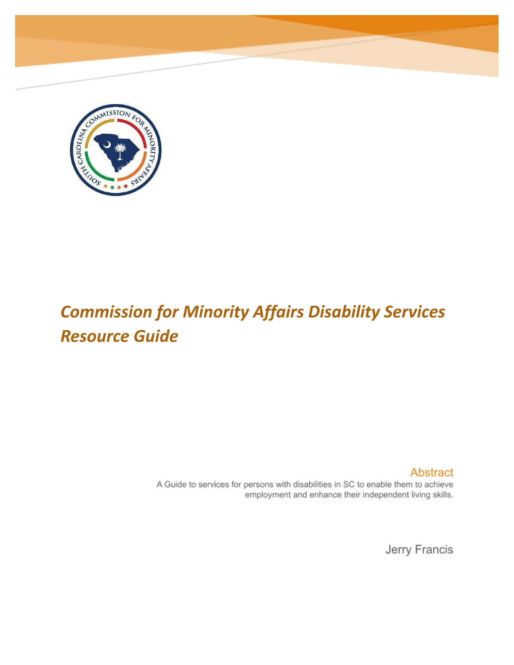

# *Commission for Minority Affairs Disability Services Resource Guide*

Abstract

A Guide to services for persons with disabilities in SC to enable them to achieve employment and enhance their independent living skills.

Jerry Francis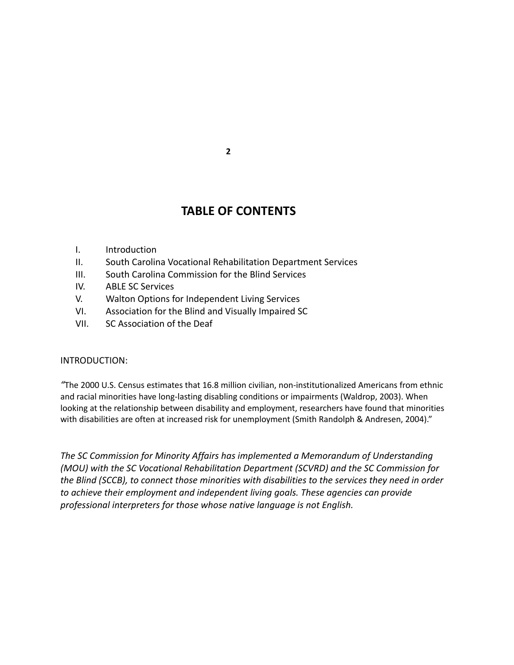## **TABLE OF CONTENTS**

- I. Introduction
- II. South Carolina Vocational Rehabilitation Department Services
- III. South Carolina Commission for the Blind Services
- IV. ABLE SC Services
- V. Walton Options for Independent Living Services
- VI. Association for the Blind and Visually Impaired SC
- VII. SC Association of the Deaf

#### INTRODUCTION:

*"*The 2000 U.S. Census estimates that 16.8 million civilian, non-institutionalized Americans from ethnic and racial minorities have long-lasting disabling conditions or impairments (Waldrop, 2003). When looking at the relationship between disability and employment, researchers have found that minorities with disabilities are often at increased risk for unemployment (Smith Randolph & Andresen, 2004)."

*The SC Commission for Minority Affairs has implemented a Memorandum of Understanding (MOU) with the SC Vocational Rehabilitation Department (SCVRD) and the SC Commission for the Blind (SCCB), to connect those minorities with disabilities to the services they need in order to achieve their employment and independent living goals. These agencies can provide professional interpreters for those whose native language is not English.*

**2**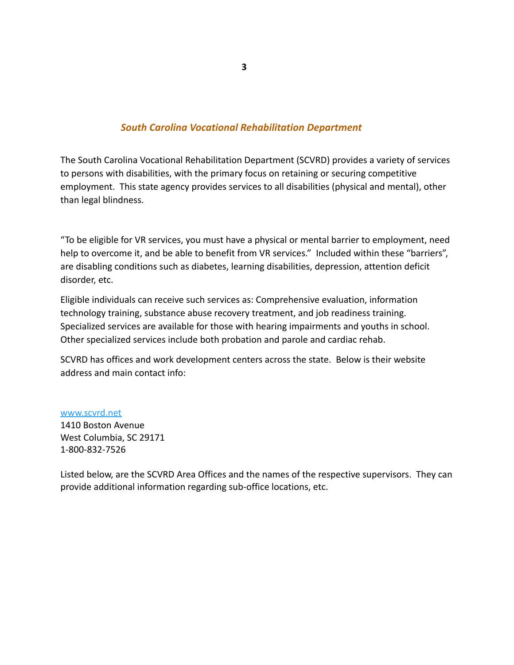#### *South Carolina Vocational Rehabilitation Department*

The South Carolina Vocational Rehabilitation Department (SCVRD) provides a variety of services to persons with disabilities, with the primary focus on retaining or securing competitive employment. This state agency provides services to all disabilities (physical and mental), other than legal blindness.

"To be eligible for VR services, you must have a physical or mental barrier to employment, need help to overcome it, and be able to benefit from VR services." Included within these "barriers", are disabling conditions such as diabetes, learning disabilities, depression, attention deficit disorder, etc.

Eligible individuals can receive such services as: Comprehensive evaluation, information technology training, substance abuse recovery treatment, and job readiness training. Specialized services are available for those with hearing impairments and youths in school. Other specialized services include both probation and parole and cardiac rehab.

SCVRD has offices and work development centers across the state. Below is their website address and main contact info:

[www.scvrd.net](http://www.scvrd.net) 1410 Boston Avenue West Columbia, SC 29171 1-800-832-7526

Listed below, are the SCVRD Area Offices and the names of the respective supervisors. They can provide additional information regarding sub-office locations, etc.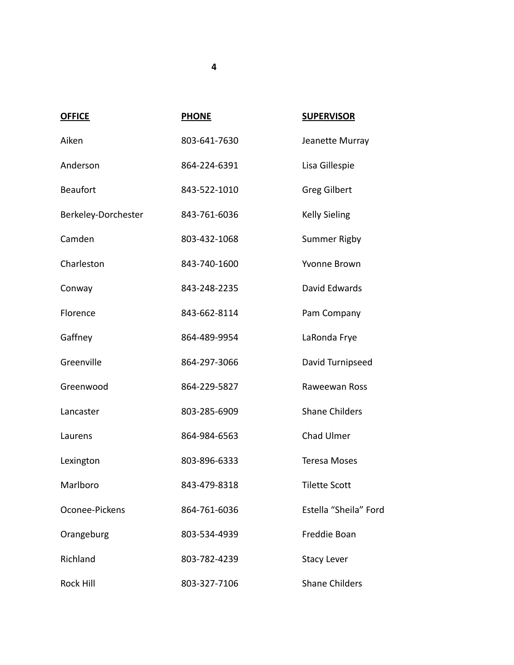| <b>OFFICE</b>       | <b>PHONE</b> | <b>SUPERVISOR</b>     |
|---------------------|--------------|-----------------------|
| Aiken               | 803-641-7630 | Jeanette Murray       |
| Anderson            | 864-224-6391 | Lisa Gillespie        |
| <b>Beaufort</b>     | 843-522-1010 | <b>Greg Gilbert</b>   |
| Berkeley-Dorchester | 843-761-6036 | <b>Kelly Sieling</b>  |
| Camden              | 803-432-1068 | Summer Rigby          |
| Charleston          | 843-740-1600 | Yvonne Brown          |
| Conway              | 843-248-2235 | David Edwards         |
| Florence            | 843-662-8114 | Pam Company           |
| Gaffney             | 864-489-9954 | LaRonda Frye          |
| Greenville          | 864-297-3066 | David Turnipseed      |
| Greenwood           | 864-229-5827 | Raweewan Ross         |
| Lancaster           | 803-285-6909 | <b>Shane Childers</b> |
| Laurens             | 864-984-6563 | Chad Ulmer            |
| Lexington           | 803-896-6333 | <b>Teresa Moses</b>   |
| Marlboro            | 843-479-8318 | <b>Tilette Scott</b>  |
| Oconee-Pickens      | 864-761-6036 | Estella "Sheila" Ford |
| Orangeburg          | 803-534-4939 | Freddie Boan          |
| Richland            | 803-782-4239 | <b>Stacy Lever</b>    |
| <b>Rock Hill</b>    | 803-327-7106 | <b>Shane Childers</b> |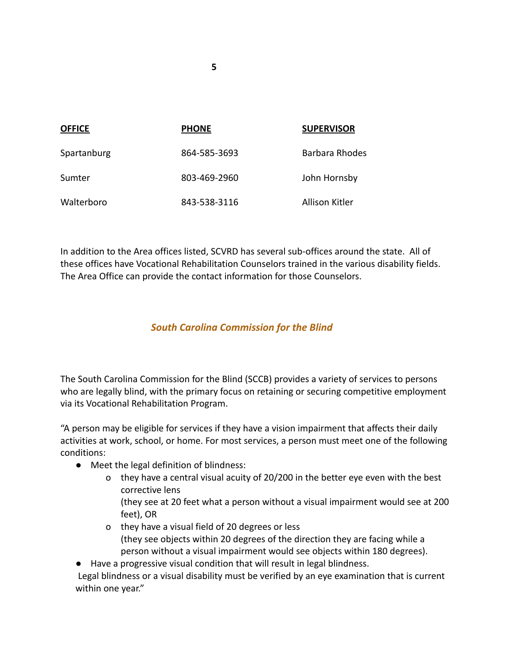| <b>OFFICE</b> | <b>PHONE</b> | <b>SUPERVISOR</b> |
|---------------|--------------|-------------------|
| Spartanburg   | 864-585-3693 | Barbara Rhodes    |
| Sumter        | 803-469-2960 | John Hornsby      |
| Walterboro    | 843-538-3116 | Allison Kitler    |

In addition to the Area offices listed, SCVRD has several sub-offices around the state. All of these offices have Vocational Rehabilitation Counselors trained in the various disability fields. The Area Office can provide the contact information for those Counselors.

## *South Carolina Commission for the Blind*

The South Carolina Commission for the Blind (SCCB) provides a variety of services to persons who are legally blind, with the primary focus on retaining or securing competitive employment via its Vocational Rehabilitation Program.

"A person may be eligible for services if they have a vision impairment that affects their daily activities at work, school, or home. For most services, a person must meet one of the following conditions:

- Meet the legal definition of blindness:
	- o they have a central visual acuity of 20/200 in the better eye even with the best corrective lens
		- (they see at 20 feet what a person without a visual impairment would see at 200 feet), OR
	- o they have a visual field of 20 degrees or less (they see objects within 20 degrees of the direction they are facing while a person without a visual impairment would see objects within 180 degrees).

● Have a progressive visual condition that will result in legal blindness. Legal blindness or a visual disability must be verified by an eye examination that is current

within one year."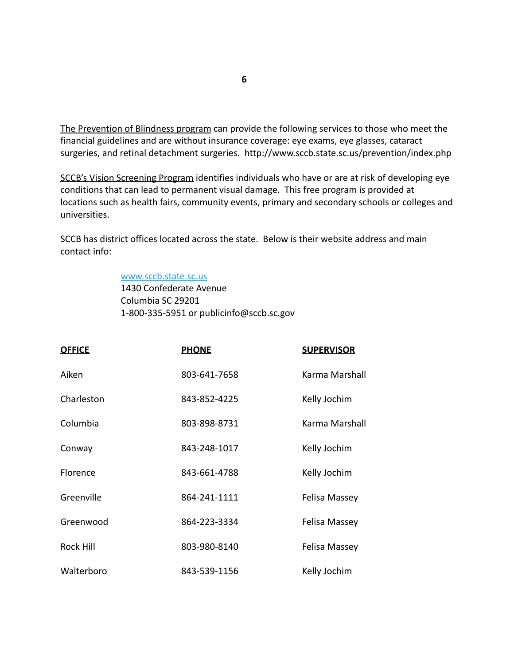The Prevention of Blindness program can provide the following services to those who meet the financial guidelines and are without insurance coverage: eye exams, eye glasses, cataract surgeries, and retinal detachment surgeries. http://www.sccb.state.sc.us/prevention/index.php

SCCB's Vision Screening Program identifies individuals who have or are at risk of developing eye conditions that can lead to permanent visual damage. This free program is provided at locations such as health fairs, community events, primary and secondary schools or colleges and universities.

SCCB has district offices located across the state. Below is their website address and main contact info:

#### [www.sccb.state.sc.us](http://www.sccb.state.sc.us)

1430 Confederate Avenue Columbia SC 29201 1-800-335-5951 or publicinfo@sccb.sc.gov

| <b>OFFICE</b>    | <b>PHONE</b> | <b>SUPERVISOR</b> |
|------------------|--------------|-------------------|
| Aiken            | 803-641-7658 | Karma Marshall    |
| Charleston       | 843-852-4225 | Kelly Jochim      |
| Columbia         | 803-898-8731 | Karma Marshall    |
| Conway           | 843-248-1017 | Kelly Jochim      |
| Florence         | 843-661-4788 | Kelly Jochim      |
| Greenville       | 864-241-1111 | Felisa Massey     |
| Greenwood        | 864-223-3334 | Felisa Massey     |
| <b>Rock Hill</b> | 803-980-8140 | Felisa Massey     |
| Walterboro       | 843-539-1156 | Kelly Jochim      |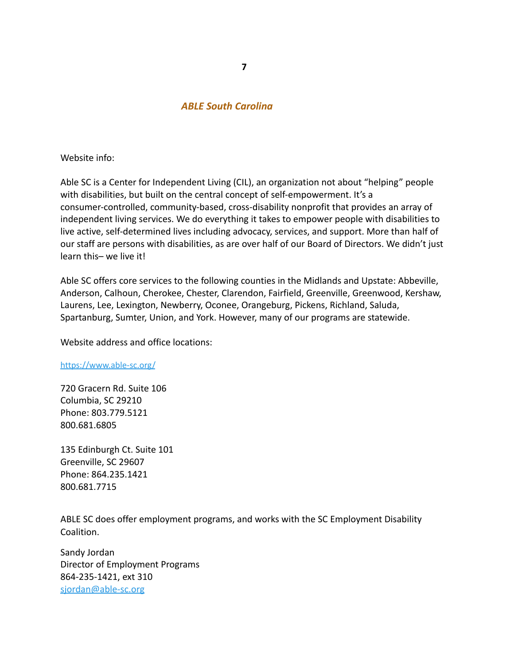#### *ABLE South Carolina*

Website info:

Able SC is a Center for Independent Living (CIL), an organization not about "helping" people with disabilities, but built on the central concept of self-empowerment. It's a consumer-controlled, community-based, cross-disability nonprofit that provides an array of independent living services. We do everything it takes to empower people with disabilities to live active, self-determined lives including advocacy, services, and support. More than half of our staff are persons with disabilities, as are over half of our Board of Directors. We didn't just learn this– we live it!

Able SC offers core services to the following counties in the Midlands and Upstate: Abbeville, Anderson, Calhoun, Cherokee, Chester, Clarendon, Fairfield, Greenville, Greenwood, Kershaw, Laurens, Lee, Lexington, Newberry, Oconee, Orangeburg, Pickens, Richland, Saluda, Spartanburg, Sumter, Union, and York. However, many of our programs are statewide.

Website address and office locations:

#### <https://www.able-sc.org/>

720 Gracern Rd. Suite 106 Columbia, SC 29210 Phone: 803.779.5121 800.681.6805

135 Edinburgh Ct. Suite 101 Greenville, SC 29607 Phone: 864.235.1421 800.681.7715

ABLE SC does offer employment programs, and works with the SC Employment Disability Coalition.

Sandy Jordan Director of Employment Programs 864-235-1421, ext 310 [sjordan@able-sc.org](mailto:sjordan@able-sc.org)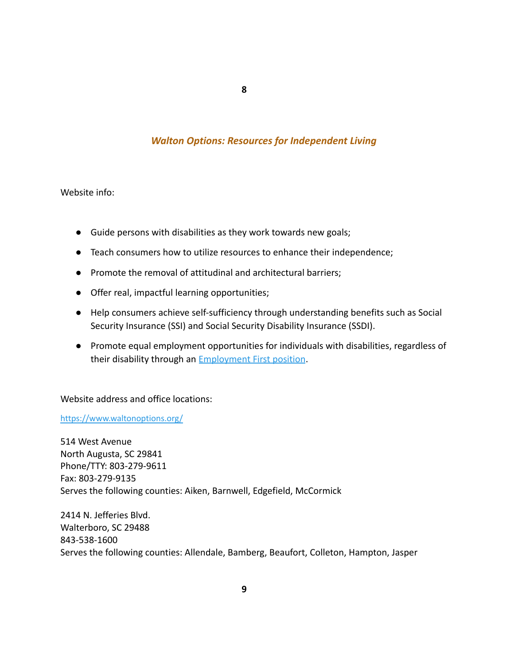**8**

## *Walton Options: Resources for Independent Living*

Website info:

- Guide persons with disabilities as they work towards new goals;
- Teach consumers how to utilize resources to enhance their independence;
- Promote the removal of attitudinal and architectural barriers;
- Offer real, impactful learning opportunities;
- Help consumers achieve self-sufficiency through understanding benefits such as Social Security Insurance (SSI) and Social Security Disability Insurance (SSDI).
- Promote equal employment opportunities for individuals with disabilities, regardless of their disability through an [Employment First position](https://www.waltonoptions.org/about-us/our-mission/employment-first-position-statement/).

Website address and office locations:

<https://www.waltonoptions.org/>

514 West Avenue North Augusta, SC 29841 Phone/TTY: 803-279-9611 Fax: 803-279-9135 Serves the following counties: Aiken, Barnwell, Edgefield, McCormick

2414 N. Jefferies Blvd. Walterboro, SC 29488 843-538-1600 Serves the following counties: Allendale, Bamberg, Beaufort, Colleton, Hampton, Jasper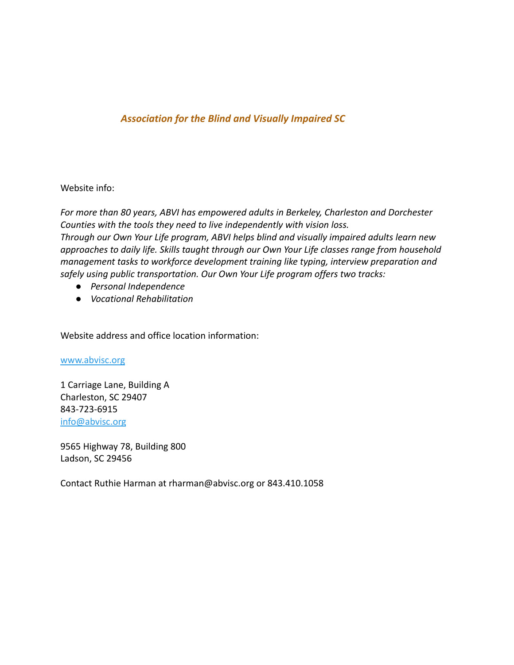### *Association for the Blind and Visually Impaired SC*

Website info:

*For more than 80 years, ABVI has empowered adults in Berkeley, Charleston and Dorchester Counties with the tools they need to live independently with vision loss. Through our Own Your Life program, ABVI helps blind and visually impaired adults learn new approaches to daily life. Skills taught through our Own Your Life classes range from household management tasks to workforce development training like typing, interview preparation and safely using public transportation. Our Own Your Life program offers two tracks:*

- *● Personal Independence*
- *● Vocational Rehabilitation*

Website address and office location information:

[www.abvisc.org](http://www.abvisc.org)

1 Carriage Lane, Building A Charleston, SC 29407 843-723-6915 [info@abvisc.org](mailto:info@abvisc.org)

9565 Highway 78, Building 800 Ladson, SC 29456

Contact Ruthie Harman at rharman@abvisc.org or 843.410.1058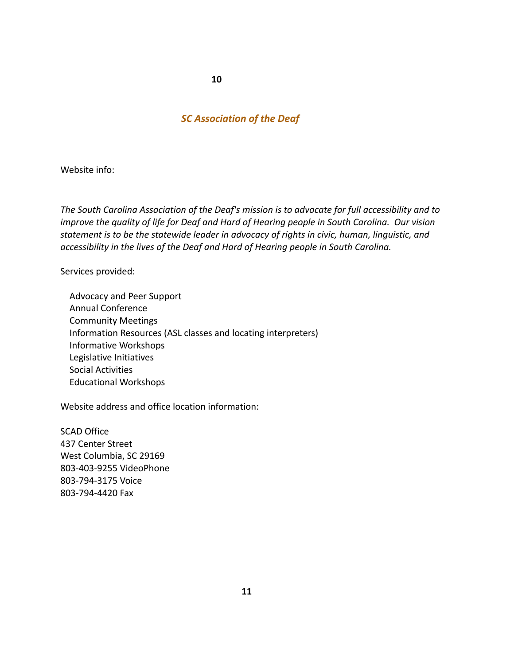## *SC Association of the Deaf*

Website info:

*The South Carolina Association of the Deaf's mission is to advocate for full accessibility and to improve the quality of life for Deaf and Hard of Hearing people in South Carolina. Our vision statement is to be the statewide leader in advocacy of rights in civic, human, linguistic, and accessibility in the lives of the Deaf and Hard of Hearing people in South Carolina.*

Services provided:

Advocacy and Peer Support Annual Conference Community Meetings Information Resources (ASL classes and locating interpreters) Informative Workshops Legislative Initiatives Social Activities Educational Workshops

Website address and office location information:

SCAD Office 437 Center Street West Columbia, SC 29169 803-403-9255 VideoPhone 803-794-3175 Voice 803-794-4420 Fax